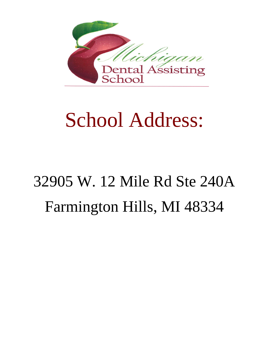

# School Address:

# 32905 W. 12 Mile Rd Ste 240A Farmington Hills, MI 48334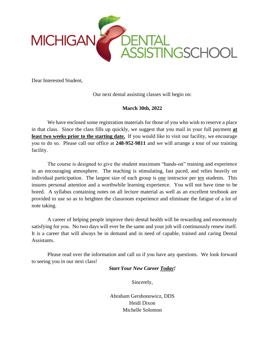

Dear Interested Student,

Our next dental assisting classes will begin on:

#### **March 30th, 2022**

We have enclosed some registration materials for those of you who wish to reserve a place in that class. Since the class fills up quickly, we suggest that you mail in your full payment **at**  least two weeks prior to the starting date. If you would like to visit our facility, we encourage you to do so. Please call our office at **248-952-9811** and we will arrange a tour of our training facility.

The course is designed to give the student maximum "hands-on" training and experience in an encouraging atmosphere. The teaching is stimulating, fast paced, and relies heavily on individual participation. The largest size of each group is <u>one</u> instructor per ten students. This insures personal attention and a worthwhile learning experience. You will not have time to be bored. A syllabus containing notes on all lecture material as well as an excellent textbook are provided to use so as to heighten the classroom experience and eliminate the fatigue of a lot of note taking.

A career of helping people improve their dental health will be rewarding and enormously satisfying for you. No two days will ever be the same and your job will continuously renew itself. It is a career that will always be in demand and in need of capable, trained and caring Dental Assistants.

Please read over the information and call us if you have any questions. We look forward to seeing you in our next class!

*Start Your New Career Today!*

Sincerely,

Abraham Gershonowicz, DDS Heidi Dixon Michelle Solomon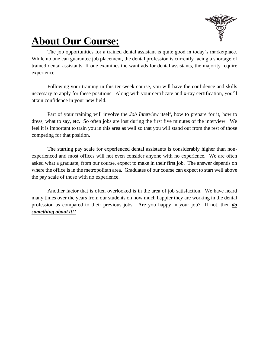

# **About Our Course:**

The job opportunities for a trained dental assistant is quite good in today's marketplace. While no one can guarantee job placement, the dental profession is currently facing a shortage of trained dental assistants. If one examines the want ads for dental assistants, the majority require experience.

Following your training in this ten-week course, you will have the confidence and skills necessary to apply for these positions. Along with your certificate and x-ray certification, you'll attain confidence in your new field.

Part of your training will involve the *Job Interview* itself, how to prepare for it, how to dress, what to say, etc. So often jobs are lost during the first five minutes of the interview. We feel it is important to train you in this area as well so that you will stand out from the rest of those competing for that position.

The starting pay scale for experienced dental assistants is considerably higher than nonexperienced and most offices will not even consider anyone with no experience. We are often asked what a graduate, from our course, expect to make in their first job. The answer depends on where the office is in the metropolitan area. Graduates of our course can expect to start well above the pay scale of those with no experience.

Another factor that is often overlooked is in the area of job satisfaction. We have heard many times over the years from our students on how much happier they are working in the dental profession as compared to their previous jobs. Are you happy in your job? If not, then *do something about it!!*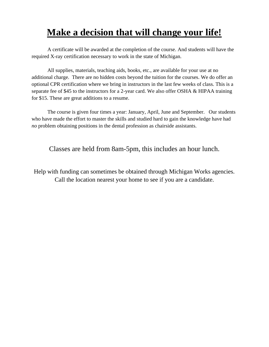## **Make a decision that will change your life!**

A certificate will be awarded at the completion of the course. And students will have the required X-ray certification necessary to work in the state of Michigan.

All supplies, materials, teaching aids, books, etc., are available for your use at no additional charge. There are no hidden costs beyond the tuition for the courses. We do offer an optional CPR certification where we bring in instructors in the last few weeks of class. This is a separate fee of \$45 to the instructors for a 2-year card. We also offer OSHA & HIPAA training for \$15. These are great additions to a resume.

The course is given four times a year: January, April, June and September. Our students who have made the effort to master the skills and studied hard to gain the knowledge have had *no* problem obtaining positions in the dental profession as chairside assistants.

Classes are held from 8am-5pm, this includes an hour lunch.

Help with funding can sometimes be obtained through Michigan Works agencies. Call the location nearest your home to see if you are a candidate.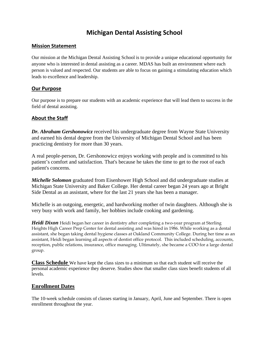## **Michigan Dental Assisting School**

#### **Mission Statement**

Our mission at the Michigan Dental Assisting School is to provide a unique educational opportunity for anyone who is interested in dental assisting as a career. MDAS has built an environment where each person is valued and respected. Our students are able to focus on gaining a stimulating education which leads to excellence and leadership.

#### **Our Purpose**

Our purpose is to prepare our students with an academic experience that will lead them to success in the field of dental assisting.

#### **About the Staff**

*Dr. Abraham Gershonowicz* received his undergraduate degree from Wayne State University and earned his dental degree from the University of Michigan Dental School and has been practicing dentistry for more than 30 years.

A real people-person, Dr. Gershonowicz enjoys working with people and is committed to his patient's comfort and satisfaction. That's because he takes the time to get to the root of each patient's concerns.

*Michelle Solomon* graduated from Eisenhower High School and did undergraduate studies at Michigan State University and Baker College. Her dental career began 24 years ago at Bright Side Dental as an assistant, where for the last 21 years she has been a manager.

Michelle is an outgoing, energetic, and hardworking mother of twin daughters. Although she is very busy with work and family, her hobbies include cooking and gardening.

*Heidi Dixon* Heidi began her career in dentistry after completing a two-year program at Sterling Heights High Career Prep Center for dental assisting and was hired in 1986. While working as a dental assistant, she began taking dental hygiene classes at Oakland Community College. During her time as an assistant, Heidi began learning all aspects of dentist office protocol. This included scheduling, accounts, reception, public relations, insurance, office managing. Ultimately, she became a COO for a large dental group.

**Class Schedule** We have kept the class sizes to a minimum so that each student will receive the personal academic experience they deserve. Studies show that smaller class sizes benefit students of all levels.

#### **Enrollment Dates**

The 10-week schedule consists of classes starting in January, April, June and September. There is open enrollment throughout the year.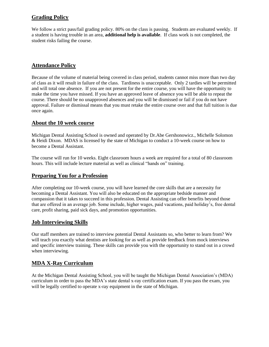#### **Grading Policy**

We follow a strict pass/fail grading policy. 80% on the class is passing. Students are evaluated weekly. If a student is having trouble in an area, **additional help is available**. If class work is not completed, the student risks failing the course.

#### **Attendance Policy**

Because of the volume of material being covered in class period, students cannot miss more than two day of class as it will result in failure of the class. Tardiness is unacceptable. Only 2 tardies will be permitted and will total one absence. If you are not present for the entire course, you will have the opportunity to make the time you have missed. If you have an approved leave of absence you will be able to repeat the course. There should be no unapproved absences and you will be dismissed or fail if you do not have approval. Failure or dismissal means that you must retake the entire course over and that full tuition is due once again.

#### **About the 10 week course**

Michigan Dental Assisting School is owned and operated by Dr.Abe Gershonowicz., Michelle Solomon & Heidi Dixon. MDAS is licensed by the state of Michigan to conduct a 10-week course on how to become a Dental Assistant.

The course will run for 10 weeks. Eight classroom hours a week are required for a total of 80 classroom hours. This will include lecture material as well as clinical "hands on" training.

#### **Preparing You for a Profession**

After completing our 10-week course, you will have learned the core skills that are a necessity for becoming a Dental Assistant. You will also be educated on the appropriate bedside manner and compassion that it takes to succeed in this profession. Dental Assisting can offer benefits beyond those that are offered in an average job. Some include, higher wages, paid vacations, paid holiday's, free dental care, profit sharing, paid sick days, and promotion opportunities.

#### **Job Interviewing Skills**

Our staff members are trained to interview potential Dental Assistants so, who better to learn from? We will teach you exactly what dentists are looking for as well as provide feedback from mock interviews and specific interview training. These skills can provide you with the opportunity to stand out in a crowd when interviewing.

#### **MDA X-Ray Curriculum**

At the Michigan Dental Assisting School, you will be taught the Michigan Dental Association's (MDA) curriculum in order to pass the MDA's state dental x-ray certification exam. If you pass the exam, you will be legally certified to operate x-ray equipment in the state of Michigan.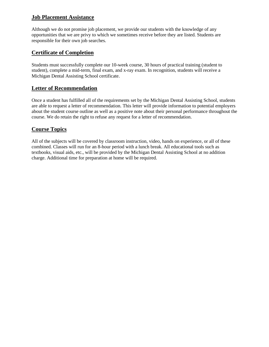#### **Job Placement Assistance**

Although we do not promise job placement, we provide our students with the knowledge of any opportunities that we are privy to which we sometimes receive before they are listed. Students are responsible for their own job searches.

#### **Certificate of Completion**

Students must successfully complete our 10-week course, 30 hours of practical training (student to student), complete a mid-term, final exam, and x-ray exam. In recognition, students will receive a Michigan Dental Assisting School certificate.

#### **Letter of Recommendation**

Once a student has fulfilled all of the requirements set by the Michigan Dental Assisting School, students are able to request a letter of recommendation. This letter will provide information to potential employers about the student course outline as well as a positive note about their personal performance throughout the course. We do retain the right to refuse any request for a letter of recommendation.

#### **Course Topics**

All of the subjects will be covered by classroom instruction, video, hands on experience, or all of these combined. Classes will run for an 8-hour period with a lunch break. All educational tools such as textbooks, visual aids, etc., will be provided by the Michigan Dental Assisting School at no addition charge. Additional time for preparation at home will be required.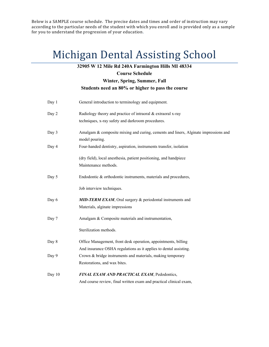Below is a SAMPLE course schedule. The precise dates and times and order of instruction may vary according to the particular needs of the student with which you enroll and is provided only as a sample for you to understand the progression of your education.

# Michigan Dental Assisting School

#### **32905 W 12 Mile Rd 240A Farmington Hills MI 48334**

#### **Course Schedule**

#### **Winter, Spring, Summer, Fall**

#### **Students need an 80% or higher to pass the course**

| Day 1  | General introduction to terminology and equipment.                                  |
|--------|-------------------------------------------------------------------------------------|
| Day 2  | Radiology theory and practice of intraoral & extraoral x-ray                        |
|        | techniques, x-ray safety and darkroom procedures.                                   |
| Day 3  | Amalgam & composite mixing and curing, cements and liners, Alginate impressions and |
|        | model pouring.                                                                      |
| Day 4  | Four-handed dentistry, aspiration, instruments transfer, isolation                  |
|        | (dry field), local anesthesia, patient positioning, and handpiece                   |
|        | Maintenance methods.                                                                |
| Day 5  | Endodontic & orthodontic instruments, materials and procedures,                     |
|        | Job interview techniques.                                                           |
|        |                                                                                     |
| Day 6  | <b>MID-TERM EXAM, Oral surgery &amp; periodontal instruments and</b>                |
|        | Materials, alginate impressions                                                     |
| Day 7  | Amalgam & Composite materials and instrumentation,                                  |
|        | Sterilization methods.                                                              |
| Day 8  | Office Management, front desk operation, appointments, billing                      |
|        | And insurance OSHA regulations as it applies to dental assisting.                   |
| Day 9  | Crown & bridge instruments and materials, making temporary                          |
|        | Restorations, and wax bites.                                                        |
| Day 10 | FINAL EXAM AND PRACTICAL EXAM, Pedodontics,                                         |
|        | And course review, final written exam and practical clinical exam,                  |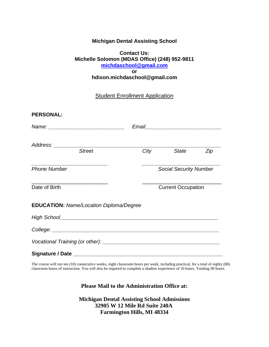#### **Michigan Dental Assisting School**

#### **Contact Us: Michelle Solomon (MDAS Office) (248) 952-9811 [michdaschool@gmail.com](mailto:michdaschool@gmail.com) or hdixon.michdaschool@gmail.com**

**Student Enrollment Application** 

| <b>PERSONAL:</b>                               |      |                                                                                                                |     |  |  |
|------------------------------------------------|------|----------------------------------------------------------------------------------------------------------------|-----|--|--|
|                                                |      | Email 2008 2010 11:00:00 10:00:00 10:00:00 10:00:00 10:00:00 10:00:00 10:00:00 10:00:00 10:00:00 10:00:00 10:0 |     |  |  |
|                                                |      |                                                                                                                |     |  |  |
| <b>Street</b>                                  | City | State                                                                                                          | Zip |  |  |
| <b>Phone Number</b>                            |      | <b>Social Security Number</b>                                                                                  |     |  |  |
| Date of Birth                                  |      | <b>Current Occupation</b>                                                                                      |     |  |  |
| <b>EDUCATION:</b> Name/Location Diploma/Degree |      |                                                                                                                |     |  |  |
|                                                |      |                                                                                                                |     |  |  |
|                                                |      |                                                                                                                |     |  |  |
|                                                |      |                                                                                                                |     |  |  |
|                                                |      |                                                                                                                |     |  |  |

The course will run ten (10) consecutive weeks, eight classroom hours per week, including practical, for a total of eighty (80) classroom hours of instruction. You will also be required to complete a shadow experience of 10 hours. Totaling 90 hours.

**Please Mail to the Administration Office at:**

**Michigan Dental Assisting School Admissions 32905 W 12 Mile Rd Suite 240A Farmington Hills, MI 48334**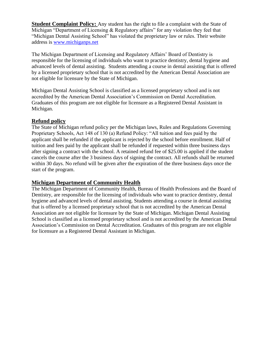**Student Complaint Policy:** Any student has the right to file a complaint with the State of Michigan "Department of Licensing & Regulatory affairs" for any violation they feel that "Michigan Dental Assisting School" has violated the proprietary law or rules. Their website address is [www.michiganps.net](http://www.michiganps.net/)

The Michigan Department of Licensing and Regulatory Affairs' Board of Dentistry is responsible for the licensing of individuals who want to practice dentistry, dental hygiene and advanced levels of dental assisting. Students attending a course in dental assisting that is offered by a licensed proprietary school that is not accredited by the American Dental Association are not eligible for licensure by the State of Michigan.

Michigan Dental Assisting School is classified as a licensed proprietary school and is not accredited by the American Dental Association's Commission on Dental Accreditation. Graduates of this program are not eligible for licensure as a Registered Dental Assistant in Michigan.

#### **Refund policy**

The State of Michigan refund policy per the Michigan laws, Rules and Regulations Governing Proprietary Schools, Act 148 of 130 (a) Refund Policy: "All tuition and fees paid by the applicant shall be refunded if the applicant is rejected by the school before enrollment. Half of tuition and fees paid by the applicant shall be refunded if requested within three business days after signing a contract with the school. A retained refund fee of \$25.00 is applied if the student cancels the course after the 3 business days of signing the contract. All refunds shall be returned within 30 days. No refund will be given after the expiration of the three business days once the start of the program.

#### **Michigan Department of Community Health**

The Michigan Department of Community Health, Bureau of Health Professions and the Board of Dentistry, are responsible for the licensing of individuals who want to practice dentistry, dental hygiene and advanced levels of dental assisting. Students attending a course in dental assisting that is offered by a licensed proprietary school that is not accredited by the American Dental Association are not eligible for licensure by the State of Michigan. Michigan Dental Assisting School is classified as a licensed proprietary school and is not accredited by the American Dental Association's Commission on Dental Accreditation. Graduates of this program are not eligible for licensure as a Registered Dental Assistant in Michigan.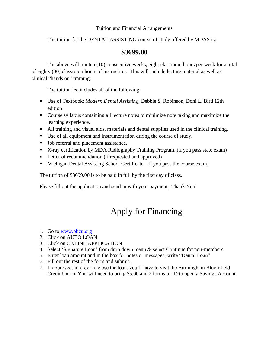#### Tuition and Financial Arrangements

The tuition for the DENTAL ASSISTING course of study offered by MDAS is:

### **\$3699.00**

The above will run ten (10) consecutive weeks, eight classroom hours per week for a total of eighty (80) classroom hours of instruction. This will include lecture material as well as clinical "hands on" training.

The tuition fee includes all of the following:

- Use of Textbook: *Modern Dental Assisting*, Debbie S. Robinson, Doni L. Bird 12th edition
- Course syllabus containing all lecture notes to minimize note taking and maximize the learning experience.
- All training and visual aids, materials and dental supplies used in the clinical training.
- Use of all equipment and instrumentation during the course of study.
- Job referral and placement assistance.
- X-ray certification by MDA Radiography Training Program. (if you pass state exam)
- Letter of recommendation (if requested and approved)
- Michigan Dental Assisting School Certificate- (If you pass the course exam)

The tuition of \$3699.00 is to be paid in full by the first day of class.

Please fill out the application and send in with your payment. Thank You!

## Apply for Financing

- 1. Go to [www.bbcu.org](http://www.bbcu.org/)
- 2. Click on AUTO LOAN
- 3. Click on ONLINE APPLICATION
- 4. Select 'Signature Loan' from drop down menu & select Continue for non-members.
- 5. Enter loan amount and in the box for notes or messages, write "Dental Loan"
- 6. Fill out the rest of the form and submit.
- 7. If approved, in order to close the loan, you'll have to visit the Birmingham Bloomfield Credit Union. You will need to bring \$5.00 and 2 forms of ID to open a Savings Account.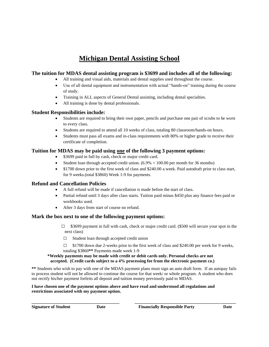## **Michigan Dental Assisting School**

#### **The tuition for MDAS dental assisting program is \$3699 and includes all of the following:**

- All training and visual aids, materials and dental supplies used throughout the course.
- Use of all dental equipment and instrumentation with actual "hands-on" training during the course of study.
- Training in ALL aspects of General Dental assisting, including dental specialties.
- All training is done by dental professionals.

#### **Student Responsibilities include:**

- Students are required to bring their own paper, pencils and purchase one pair of scrubs to be worn to every class.
- Students are required to attend all 10 weeks of class, totaling 80 classroom/hands-on hours.
- Students must pass all exams and in-class requirements with 80% or higher grade to receive their certificate of completion.

#### **Tuition for MDAS may be paid using one of the following 3 payment options:**

- \$3699 paid in full by cash, check or major credit card.
- Student loan through accepted credit union.  $(6.9\% = 100.00$  per month for 36 months)
- \$1700 down prior to the first week of class and \$240.00 a week. Paid autodraft prior to class start, for 9 weeks.(total \$3860) Week 1-9 for payments.

#### **Refund and Cancellation Policies**

- A full refund will be made if cancellation is made before the start of class.
- Partial refund until 3 days after class starts. Tuition paid minus \$450 plus any finance fees paid or workbooks used.
- After 3 days from start of course no refund.

#### **Mark the box next to one of the following payment options:**

- **□** \$3699 payment in full with cash, check or major credit card. (\$500 will secure your spot in the next class)
- □ Student loan through accepted credit union
- $\Box$  \$1700 down due 2-weeks prior to the first week of class and \$240.00 per week for 9 weeks, totaling \$3860**\*\*** Payments made week 1-9

#### **\*Weekly payments may be made with credit or debit cards only. Personal checks are not accepted. (Credit cards subject to a 4% processing fee from the electronic payment co.)**

**\*\*** Students who wish to pay with one of the MDAS payment plans must sign an auto draft form. If an autopay fails to process student will not be allowed to continue the course for that week/ or whole program. A student who does not rectify his/her payment forfeits all deposit and tuition money previously paid to MDAS.

**\_\_\_\_\_\_\_\_\_\_\_\_\_\_\_\_\_\_\_\_\_\_\_\_\_\_\_\_\_\_\_\_\_\_\_\_\_\_\_\_ \_\_\_\_\_\_\_\_\_\_\_\_\_\_\_\_\_\_\_\_\_\_\_\_\_\_\_\_\_\_\_\_\_\_\_\_\_\_\_\_\_\_\_\_\_\_** 

#### **I have chosen one of the payment options above and have read and understood all regulations and restrictions associated with my payment option.**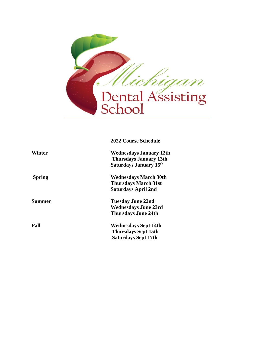

|               | <b>2022 Course Schedule</b>                                                               |
|---------------|-------------------------------------------------------------------------------------------|
| Winter        | <b>Wednesdays January 12th</b><br><b>Thursdays January 13th</b><br>Saturdays January 15th |
| <b>Spring</b> | <b>Wednesdays March 30th</b><br><b>Thursdays March 31st</b><br><b>Saturdays April 2nd</b> |
| Summer        | <b>Tuesday June 22nd</b><br><b>Wednesdays June 23rd</b><br><b>Thursdays June 24th</b>     |
| Fall          | <b>Wednesdays Sept 14th</b><br><b>Thursdays Sept 15th</b><br><b>Saturdays Sept 17th</b>   |